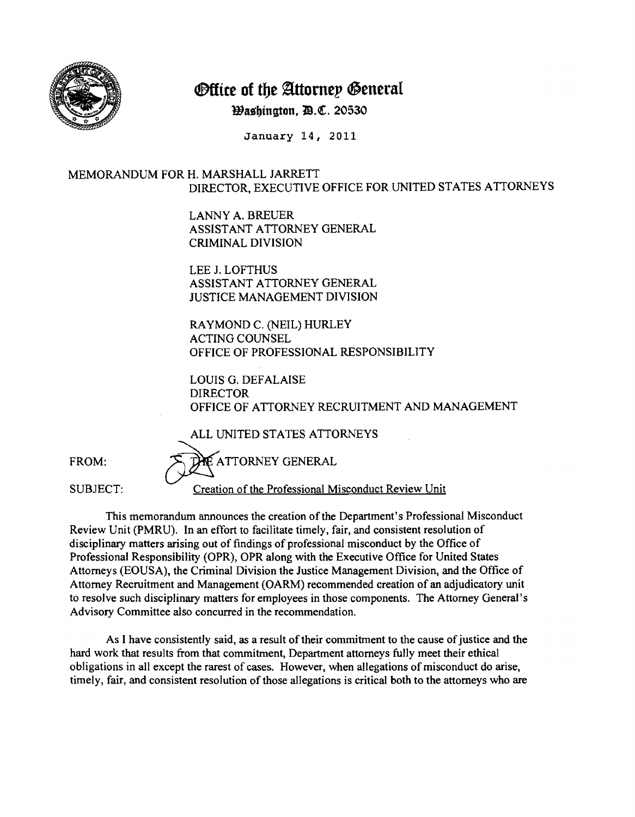

## **Office of the Attorney General**

**Washington, D.C. 20530** 

January 14, 2011

## MEMORANDUM FOR H. MARSHALL JARRETT DIRECTOR, EXECUTIVE OFFICE FOR UNITED STATES ATTORNEYS

LANNY A. BREUER ASSISTANT ATTORNEY GENERAL CRIMINAL DIVISION

LEE J. LOFTHUS ASSISTANT ATTORNEY GENERAL JUSTICE MANAGEMENT DIVISION

RAYMOND C. (NEIL) HURLEY ACTING COUNSEL OFFICE OF PROFESSIONAL RESPONSIBILITY

LOUIS G. DEFALAISE DIRECTOR OFFICE OF ATTORNEY RECRUITMENT AND MANAGEMENT

ALL UNITED STATES ATTORNEYS  $\Delta$ E ATTORNEY GENERAL FROM:  $f(x)$ SUBJECT: Creation of the Professional Misconduct Review Unit

This memorandum announces the creation of the Department's Professional Misconduct Review Unit (PMRU). In an effort to facilitate timely, fair, and consistent resolution of disciplinary matters arising out of findings of professional misconduct by the Office of Professional Responsibility (OPR), OPR along with the Executive Office for United States Attorneys (EOUSA), the Criminal Division the Justice Management Division, and the Office of Attorney Recruitment and Management (OARM) recommended creation of an adjudicatory unit to resolve such disciplinary matters for employees in those components. The Attorney General's Advisory Committee also concurred in the recommendation.

As I have consistently said, as a result of their commitment to the cause of justice and the hard work that results from that commitment, Department attorneys fully meet their ethical obligations in all except the rarest of cases. However, when allegations of misconduct do arise, timely, fair, and consistent resolution of those allegations is critical both to the attorneys who are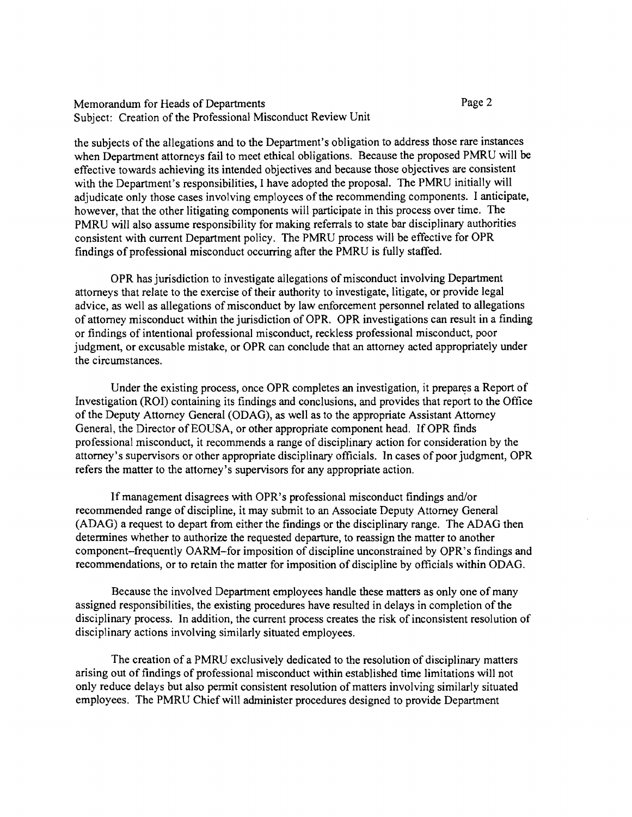## Memorandum for Heads of Departments Subject: Creation of the Professional Misconduct Review Unit

Page 2

the subjects of the allegations and to the Department's obligation to address those rare instances when Department attorneys fail to meet ethical obligations. Because the proposed PMRU will be effective towards achieving its intended objectives and because those objectives are consistent with the Department's responsibilities, I have adopted the proposal. The PMRU initially will adjudicate only those cases involving employees of the recommending components. I anticipate, however, that the other litigating components will participate in this process over time. The PMRU will also assume responsibility for making referrals to state bar disciplinary authorities consistent with current Department policy. The PMRU process will be effective for OPR findings of professional misconduct occurring after the PMRU is fully staffed.

OPR has jurisdiction to investigate allegations of misconduct involving Department attorneys that relate to the exercise of their authority to investigate, litigate, or provide legal advice, as well as allegations of misconduct by law enforcement personnel related to allegations of attorney misconduct within the jurisdiction of OPR. OPR investigations can result in a finding or findings of intentional professional misconduct, reckless professional misconduct, poor judgment, or excusable mistake, or OPR can conclude that an attorney acted appropriately under the circumstances.

Under the existing process, once OPR completes an investigation, it prepares a Report of Investigation (ROI) containing its findings and conclusions, and provides that report to the Office of the Deputy Attorney General (ODAG), as well as to the appropriate Assistant Attorney General, the Director of EOUSA, or other appropriate component head. If OPR finds professional misconduct, it recommends a range of disciplinary action for consideration by the attorney's supervisors or other appropriate disciplinary officials. In cases of poor judgment, OPR refers the matter to the attorney's supervisors for any appropriate action.

If management disagrees with OPR's professional misconduct findings and/or recommended range of discipline, it may submit to an Associate Deputy Attorney General (ADAG) a request to depart from either the findings or the disciplinary range. The ADAG then determines whether to authorize the requested departure, to reassign the matter to another component-frequently OARM-for imposition of discipline unconstrained by OPR's findings and recommendations, or to retain the matter for imposition of discipline by officials within ODAG.

Because the involved Department employees handle these matters as only one of many assigned responsibilities, the existing procedures have resulted in delays in completion of the disciplinary process. In addition, the current process creates the risk of inconsistent resolution of disciplinary actions involving similarly situated employees.

The creation of a PMRU exclusively dedicated to the resolution of disciplinary matters arising out of findings of professional misconduct within established time limitations will not only reduce delays but also permit consistent resolution of matters involving similarly situated employees. The PMRU Chief will administer procedures designed to provide Department